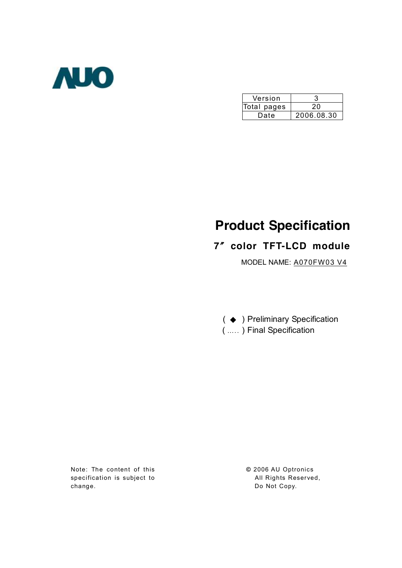

| Version     |            |  |  |  |
|-------------|------------|--|--|--|
| Total pages | 20         |  |  |  |
| Date        | 2006.08.30 |  |  |  |

# **Product Specification**

## **7**〞**color TFT-LCD module**

MODEL NAME: A070FW03 V4

( ◆ ) Preliminary Specification ( ….. ) Final Specification

Note: The content of this specification is subject to change.

**©** 2006 AU Optronics All Rights Reserved, Do Not Copy.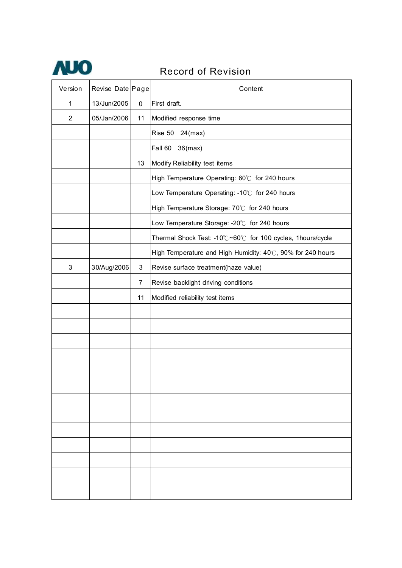

## Record of Revision

| Version        | Revise Date Page |                | Content                                                     |  |  |  |
|----------------|------------------|----------------|-------------------------------------------------------------|--|--|--|
| $\mathbf{1}$   | 13/Jun/2005      | 0              | First draft.                                                |  |  |  |
| $\overline{2}$ | 05/Jan/2006      | 11             | Modified response time                                      |  |  |  |
|                |                  |                | Rise 50<br>$24$ (max)                                       |  |  |  |
|                |                  |                | Fall 60<br>$36$ (max)                                       |  |  |  |
|                |                  | 13             | Modify Reliability test items                               |  |  |  |
|                |                  |                | High Temperature Operating: 60°C for 240 hours              |  |  |  |
|                |                  |                | Low Temperature Operating: -10°C for 240 hours              |  |  |  |
|                |                  |                | High Temperature Storage: 70°C for 240 hours                |  |  |  |
|                |                  |                | Low Temperature Storage: -20°C for 240 hours                |  |  |  |
|                |                  |                | Thermal Shock Test: -10℃~60℃ for 100 cycles, 1hours/cycle   |  |  |  |
|                |                  |                | High Temperature and High Humidity: 40°C, 90% for 240 hours |  |  |  |
| $\mathbf{3}$   | 30/Aug/2006      | 3              | Revise surface treatment(haze value)                        |  |  |  |
|                |                  | $\overline{7}$ | Revise backlight driving conditions                         |  |  |  |
|                |                  | 11             | Modified reliability test items                             |  |  |  |
|                |                  |                |                                                             |  |  |  |
|                |                  |                |                                                             |  |  |  |
|                |                  |                |                                                             |  |  |  |
|                |                  |                |                                                             |  |  |  |
|                |                  |                |                                                             |  |  |  |
|                |                  |                |                                                             |  |  |  |
|                |                  |                |                                                             |  |  |  |
|                |                  |                |                                                             |  |  |  |
|                |                  |                |                                                             |  |  |  |
|                |                  |                |                                                             |  |  |  |
|                |                  |                |                                                             |  |  |  |
|                |                  |                |                                                             |  |  |  |
|                |                  |                |                                                             |  |  |  |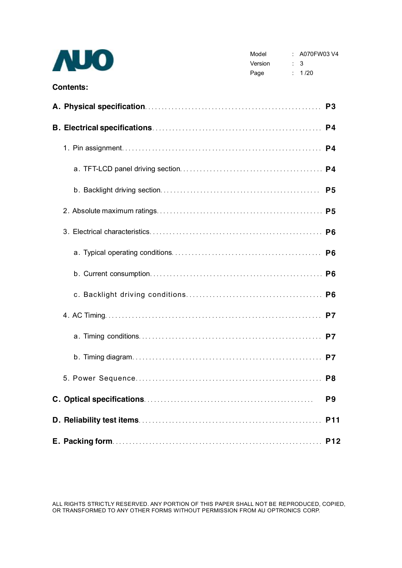| <b>NJO</b>       | Model<br>Version : 3<br>$\therefore$ 1/20<br>Page | $\therefore$ A070FW03 V4 |                |
|------------------|---------------------------------------------------|--------------------------|----------------|
| <b>Contents:</b> |                                                   |                          |                |
|                  |                                                   |                          |                |
|                  |                                                   |                          |                |
|                  |                                                   |                          |                |
|                  |                                                   |                          |                |
|                  |                                                   |                          |                |
|                  |                                                   |                          |                |
|                  |                                                   |                          |                |
|                  |                                                   |                          |                |
|                  |                                                   |                          |                |
|                  |                                                   |                          |                |
|                  |                                                   |                          |                |
|                  |                                                   |                          |                |
|                  |                                                   |                          |                |
|                  |                                                   |                          |                |
|                  |                                                   |                          | P <sub>9</sub> |
|                  |                                                   |                          |                |
|                  |                                                   |                          |                |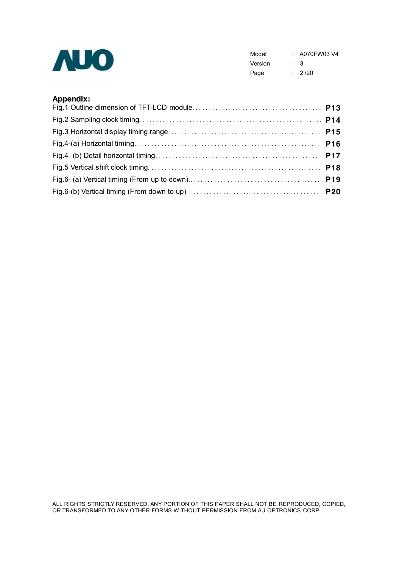

Model : A070FW03 V4 Version : 3 Page : 2/20

## **Appendix:**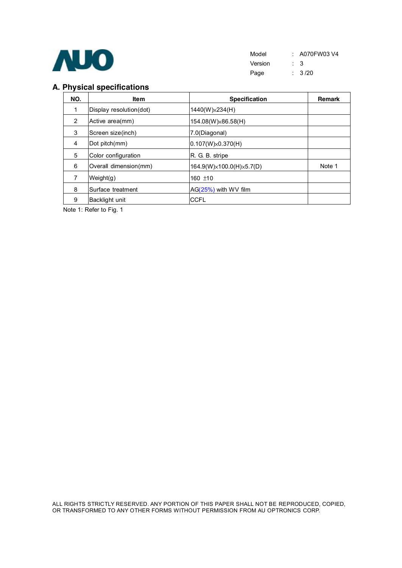

| Model   |                | : A070FW03 V4 |
|---------|----------------|---------------|
| Version | $\therefore$ 3 |               |
| Page    |                | : 3/20        |

## **A. Physical specifications**

| NO.            | <b>Item</b>             | <b>Specification</b>      | <b>Remark</b> |
|----------------|-------------------------|---------------------------|---------------|
| 1              | Display resolution(dot) | $1440(W)\times 234(H)$    |               |
| $\overline{2}$ | Active area(mm)         | 154.08(W) × 86.58(H)      |               |
| 3              | Screen size(inch)       | 7.0(Diagonal)             |               |
| 4              | Dot pitch(mm)           | $0.107(W)\times 0.370(H)$ |               |
| 5              | Color configuration     | R. G. B. stripe           |               |
| 6              | Overall dimension(mm)   | 164.9(W)x100.0(H)x5.7(D)  | Note 1        |
| 7              | Weight(g)               | 160 $±10$                 |               |
| 8              | Surface treatment       | $AG(25%)$ with WV film    |               |
| 9              | Backlight unit          | <b>CCFL</b>               |               |

Note 1: Refer to Fig. 1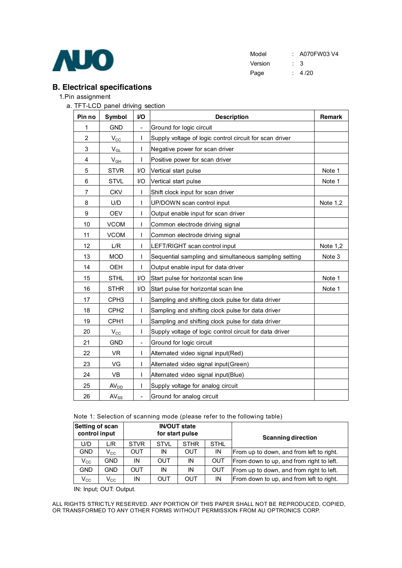

| Model   | : A070FW03 V4 |
|---------|---------------|
| Version | : 3           |
| Page    | 4/20          |

## **B. Electrical specifications**

#### 1.Pin assignment

a. TFT-LCD panel driving section

| Pin no         | Symbol                     | VO                       | <b>Description</b>                                      | <b>Remark</b> |
|----------------|----------------------------|--------------------------|---------------------------------------------------------|---------------|
| 1              | <b>GND</b>                 | $\frac{1}{2}$            | Ground for logic circuit                                |               |
| 2              | $V_{\rm CC}$               | L                        | Supply voltage of logic control circuit for scan driver |               |
| 3              | $\mathsf{V}_{\mathsf{GL}}$ | I                        | Negative power for scan driver                          |               |
| $\overline{4}$ | $V_{GH}$                   | L                        | Positive power for scan driver                          |               |
| 5              | <b>STVR</b>                | I/O                      | Vertical start pulse                                    | Note 1        |
| 6              | <b>STVL</b>                | I/O                      | Vertical start pulse                                    | Note 1        |
| 7              | <b>CKV</b>                 | I                        | Shift clock input for scan driver                       |               |
| 8              | U/D                        | I                        | UP/DOWN scan control input                              | Note 1,2      |
| 9              | <b>OEV</b>                 | I                        | Output enable input for scan driver                     |               |
| 10             | <b>VCOM</b>                | $\mathsf{l}$             | Common electrode driving signal                         |               |
| 11             | <b>VCOM</b>                | $\mathsf{l}$             | Common electrode driving signal                         |               |
| 12             | L/R                        | I                        | LEFT/RIGHT scan control input                           | Note 1,2      |
| 13             | <b>MOD</b>                 | I                        | Sequential sampling and simultaneous sampling setting   | Note 3        |
| 14             | OEH                        | $\mathbf{I}$             | Output enable input for data driver                     |               |
| 15             | <b>STHL</b>                | I/O                      | Start pulse for horizontal scan line                    | Note 1        |
| 16             | <b>STHR</b>                | I/O                      | Start pulse for horizontal scan line                    | Note 1        |
| 17             | CPH <sub>3</sub>           | $\mathsf{I}$             | Sampling and shifting clock pulse for data driver       |               |
| 18             | CPH <sub>2</sub>           | $\mathsf{I}$             | Sampling and shifting clock pulse for data driver       |               |
| 19             | CPH <sub>1</sub>           | $\mathsf{l}$             | Sampling and shifting clock pulse for data driver       |               |
| 20             | $V_{\rm CC}$               | I                        | Supply voltage of logic control circuit for data driver |               |
| 21             | <b>GND</b>                 | $\overline{\phantom{0}}$ | Ground for logic circuit                                |               |
| 22             | VR.                        | L                        | Alternated video signal input(Red)                      |               |
| 23             | VG                         | I                        | Alternated video signal input(Green)                    |               |
| 24             | VB                         | I                        | Alternated video signal input(Blue)                     |               |
| 25             | <b>AV<sub>DD</sub></b>     | I                        | Supply voltage for analog circuit                       |               |
| 26             | $AV_{SS}$                  | $\overline{\phantom{0}}$ | Ground for analog circuit                               |               |

Note 1: Selection of scanning mode (please refer to the following table)

| Setting of scan<br>control input |                            |             |             | <b>IN/OUT state</b><br>for start pulse |                                                        | <b>Scanning direction</b>                |  |  |
|----------------------------------|----------------------------|-------------|-------------|----------------------------------------|--------------------------------------------------------|------------------------------------------|--|--|
| U/D                              | L/R                        | <b>STVR</b> | <b>STVL</b> | <b>STHR</b>                            | <b>STHL</b>                                            |                                          |  |  |
| <b>GND</b>                       | $\mathsf{V}_{\mathsf{CC}}$ | <b>OUT</b>  | IN          | <b>OUT</b>                             | IN                                                     | From up to down, and from left to right. |  |  |
| $V_{\rm CC}$                     | GND.                       | ΙN          | <b>OUT</b>  | ΙN                                     | <b>OUT</b>                                             | From down to up, and from right to left. |  |  |
| <b>GND</b>                       | GND                        | <b>OUT</b>  | IN          | IN                                     | <b>OUT</b><br>From up to down, and from right to left. |                                          |  |  |
| $V_{\rm CC}$                     | $V_{CC}$                   | ΙN          | OUT         | OUT                                    | IN                                                     | From down to up, and from left to right. |  |  |

IN: Input; OUT: Output.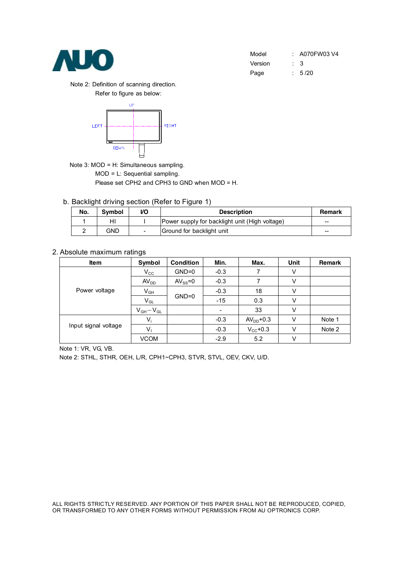

| Model   | $: A070$ FW03 V4 |
|---------|------------------|
| Version | $\therefore$ 3   |
| Page    | : 5/20           |

Note 2: Definition of scanning direction. Refer to figure as below:



Note 3: MOD = H: Simultaneous sampling.

MOD = L: Sequential sampling.

Please set CPH2 and CPH3 to GND when MOD = H.

b. Backlight driving section (Refer to Figure 1)

| No. | <b>Symbol</b> | VO | <b>Description</b>                             | <b>Remark</b> |
|-----|---------------|----|------------------------------------------------|---------------|
|     | ΗI            |    | Power supply for backlight unit (High voltage) | --            |
|     | GND           |    | Ground for backlight unit                      | --            |

### 2. Absolute maximum ratings

| Item                 | Symbol           | <b>Condition</b> | Min.                     | Max.              | Unit | <b>Remark</b> |
|----------------------|------------------|------------------|--------------------------|-------------------|------|---------------|
|                      | $V_{\rm CC}$     | $GND=0$          | $-0.3$                   | 7                 | V    |               |
|                      | AV <sub>DD</sub> | $AV_{SS} = 0$    | $-0.3$                   | 7                 | ٧    |               |
| Power voltage        | $V_{GH}$         |                  | $-0.3$                   | 18                | ٧    |               |
|                      | $V_{GL}$         | $GND=0$          | $-15$                    | 0.3               | ٧    |               |
|                      | $V_{GH}-V_{GL}$  |                  | $\overline{\phantom{a}}$ | 33                | V    |               |
|                      | $V_i$            |                  | $-0.3$                   | $AVDD+0.3$        | V    | Note 1        |
| Input signal voltage | V,               |                  | $-0.3$                   | $V_{\rm CC}$ +0.3 | V    | Note 2        |
|                      | <b>VCOM</b>      |                  | $-2.9$                   | 5.2               | v    |               |

Note 1: VR, VG, VB.

Note 2: STHL, STHR, OEH, L/R, CPH1~CPH3, STVR, STVL, OEV, CKV, U/D.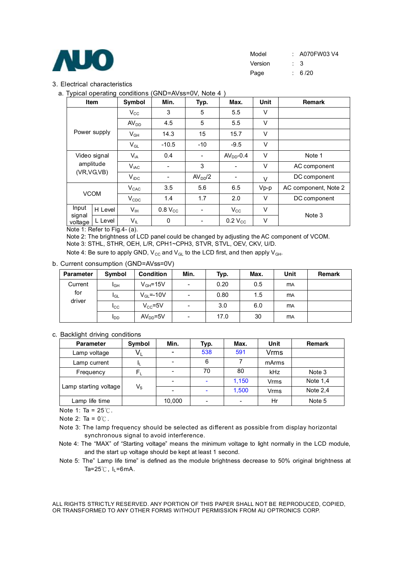

#### 3. Electrical characteristics

| a. Typical operating conditions (GND=AVss=0V, Note 4) |  |  |
|-------------------------------------------------------|--|--|
|-------------------------------------------------------|--|--|

| J 1 - - -<br>Item                         |              | Symbol           | Min.           | Typ.                | Max.           | Unit   | <b>Remark</b>        |
|-------------------------------------------|--------------|------------------|----------------|---------------------|----------------|--------|----------------------|
|                                           |              | $V_{\rm CC}$     | 3              | 5                   | 5.5            | V      |                      |
|                                           |              | AV <sub>DD</sub> | 4.5            | 5                   | 5.5            | V      |                      |
|                                           | Power supply | $V_{GH}$         | 14.3           | 15                  | 15.7           | V      |                      |
|                                           |              | $V_{GL}$         | $-10.5$        | $-10$               | $-9.5$         | $\vee$ |                      |
| Video signal<br>amplitude<br>(VR, VG, VB) |              | $V_{iA}$         | 0.4            |                     | $AVDD - 0.4$   | $\vee$ | Note 1               |
|                                           |              | $V_{\text{iAC}}$ |                | 3                   |                | $\vee$ | AC component         |
|                                           |              | $V_{\text{IDC}}$ |                | AV <sub>DD</sub> /2 |                | $\vee$ | DC component         |
| <b>VCOM</b>                               |              | $V_{CAC}$        | 3.5            | 5.6                 | 6.5            | $Vp-p$ | AC component, Note 2 |
|                                           |              | $V_{CDC}$        | 1.4            | 1.7                 | 2.0            | V      | DC component         |
| Input                                     | H Level      | V <sub>IH</sub>  | $0.8$ $V_{CC}$ |                     | $V_{\rm CC}$   | $\vee$ | Note 3               |
| signal<br>voltage                         | L Level      | $V_{IL}$         | 0              |                     | $0.2$ $V_{CC}$ | V      |                      |

Note 1: Refer to Fig.4- (a).

Note 2: The brightness of LCD panel could be changed by adjusting the AC component of VCOM. Note 3: STHL, STHR, OEH, L/R, CPH1~CPH3, STVR, STVL, OEV, CKV, U/D.

Note 4: Be sure to apply GND,  $V_{CC}$  and  $V_{GL}$  to the LCD first, and then apply  $V_{GH}$ .

#### b. Current consumption (GND=AVss=0V)

| <b>Parameter</b> | Symbol          | <b>Condition</b>       | Min.                     | Typ. | Max. | Unit      | <b>Remark</b> |
|------------------|-----------------|------------------------|--------------------------|------|------|-----------|---------------|
| Current          | I <sub>GH</sub> | $V_{GH} = 15V$         | $\sim$                   | 0.20 | 0.5  | <b>MA</b> |               |
| for              | $I_{GL}$        | $V_{\text{GI}} = -10V$ | $\overline{\phantom{0}}$ | 0.80 | 1.5  | <b>MA</b> |               |
| driver           | $_{\rm lcc}$    | $V_{CC} = 5V$          | $\overline{\phantom{0}}$ | 3.0  | 6.0  | <b>MA</b> |               |
|                  | <b>I</b> DD     | $AVDD=5V$              | $\overline{\phantom{0}}$ | 17.0 | 30   | <b>MA</b> |               |

#### c. Backlight driving conditions

| <b>Parameter</b>      | <b>Symbol</b> | Min.   | Typ.                     | Max.  | Unit  | <b>Remark</b> |
|-----------------------|---------------|--------|--------------------------|-------|-------|---------------|
| Lamp voltage          | $V_L$         |        | 538                      | 591   | Vrms  |               |
| Lamp current          | IL.           |        | 6                        |       | mArms |               |
| Frequency             | Fı.           |        | 70                       | 80    | kHz   | Note 3        |
|                       |               |        | $\overline{\phantom{a}}$ | 1,150 | Vrms  | Note $1,4$    |
| Lamp starting voltage | $V_{\rm S}$   |        |                          | 1,500 | Vrms  | Note $2,4$    |
| Lamp life time        |               | 10,000 | -                        | -     | Hr    | Note 5        |

Note 1: Ta =  $25^\circ\text{C}$ .

Note 2: Ta =  $0^{\circ}$ C.

Note 3: The lamp frequency should be selected as different as possible from display horizontal synchronous signal to avoid interference.

- Note 4: The "MAX" of "Starting voltage" means the minimum voltage to light normally in the LCD module, and the start up voltage should be kept at least 1 second.
- Note 5: The" Lamp life time" is defined as the module brightness decrease to 50% original brightness at Ta=25 $°C$ , I<sub>L</sub>=6mA.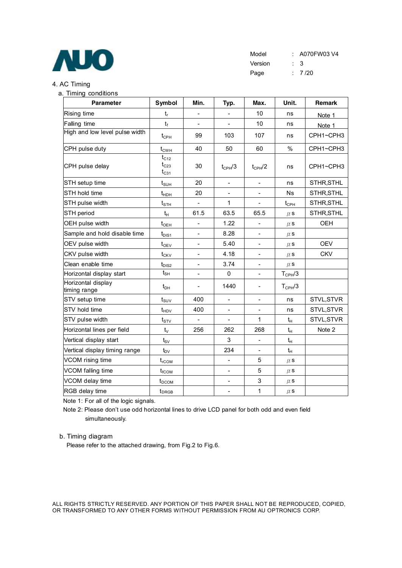

#### 4. AC Timing

### a. Timing conditions **Parameter Symbol Min. Typ. Max. Unit. Remark** Rising time tr - - 10 ns Note 1 Falling time  $t_f$   $t_f$   $-$  10 ns Note 1 High and low level pulse width  $t_{\text{CPH}}$  99 103 107 ns CPH1~CPH3 CPH pulse duty tCWH 40 50 60 % CPH1~CPH3 CPH pulse delay  $t_{C12}$  $t_{C23}$  $t_{C31}$  $30 \t\t t_{CPH}/3 \t\t t_{CPH}/2 \t\t ns \t\ CPH1 \sim CPH3$ STH setup time tSUH 20 - - ns STHR,STHL STH hold time  $\begin{array}{|c|c|c|c|c|c|}\hline \text{STH} \text{ hold time} & \text{lim}\quad & 20 & - & - & - & \text{Ns} & \text{STHR}, \text{STHL} \ \hline \end{array}$ STH pulse width  $t_{\text{STH}}$  | - | 1 | - |  $t_{\text{CPH}}$  | STHR,STHL STH period tH 61.5 63.5 65.5 μs STHR,STHL OEH pulse width tOEH - 1.22 - μs OEH Sample and hold disable time  $\begin{vmatrix} t_{DIS1} & - & 8.28 & - & \mu s \end{vmatrix}$ OEV pulse width tOEV - 5.40 - μs OEV CKV pulse width  $t_{CKV}$  | - | 4.18 | - |  $\mu$ s | CKV Clean enable time  $t_{DIS2}$  | - | 3.74 | - |  $\mu$  s Horizontal display start  $\begin{vmatrix} t_{\text{SH}} & - & 0 & - & T_{\text{CPH}}/3 \end{vmatrix}$ Horizontal display timing range  $t_{DH}$  | - | 1440 | - |  $T_{CPH}/3$ STV setup time tSUV 400 - - ns STVL,STVR STV hold time  $t_{\text{HDV}}$  | 400 |  $-$  |  $-$  | ns | STVL,STVR STV pulse width  $t_{STV}$  | - | - | 1  $t_H$  STVL,STVR Horizontal lines per field  $t_V$  | 256 | 262 | 268 |  $t_H$  | Note 2 Vertical display start  $\begin{vmatrix} t_{\text{S}V} & | & | & 3 & | & - & | & t_{\text{H}} \end{vmatrix}$ Vertical display timing range  $\begin{array}{|c|c|c|c|c|}\hline \text{t}_\text{D}\text{V} & & 234 & - & \end{array}$ VCOM rising time  $t_{\text{rCOM}}$  |  $t_{\text{rCOM}}$  | - | 5 |  $\mu$  s VCOM falling time  $t_{\text{fCOM}}$  |  $t_{\text{rCOM}}$  |  $-$  | 5 |  $\mu$  s VCOM delay time  $t_{DCOM}$  |  $-$  | 3 |  $\mu$  s RGB delay time tDRGB - 1 μs

Note 1: For all of the logic signals.

Note 2: Please don't use odd horizontal lines to drive LCD panel for both odd and even field simultaneously.

#### b. Timing diagram

Please refer to the attached drawing, from Fig.2 to Fig.6.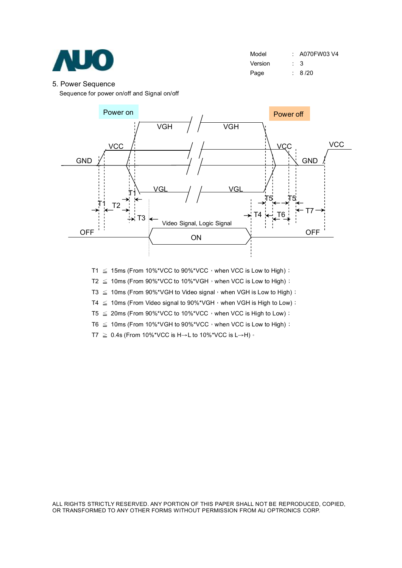

| Model   |           | $: A070$ FW03V4 |
|---------|-----------|-----------------|
| Version | $\cdot$ 3 |                 |
| Page    |           | : 8/20          |

#### 5. Power Sequence

Sequence for power on/off and Signal on/off



- T1  $\leq$  15ms (From 10%\*VCC to 90%\*VCC, when VCC is Low to High) ;
- T2  $\leq$  10ms (From 90%\*VCC to 10%\*VGH, when VCC is Low to High);

T3  $\leq$  10ms (From 90%\*VGH to Video signal, when VGH is Low to High);

T4  $\leq$  10ms (From Video signal to 90%\*VGH, when VGH is High to Low);

T5  $\leq$  20ms (From 90%\*VCC to 10%\*VCC, when VCC is High to Low);

T6  $\leq$  10ms (From 10%\*VGH to 90%\*VCC, when VCC is Low to High);

T7  $\geq$  0.4s (From 10%\*VCC is H→L to 10%\*VCC is L→H)  $\cdot$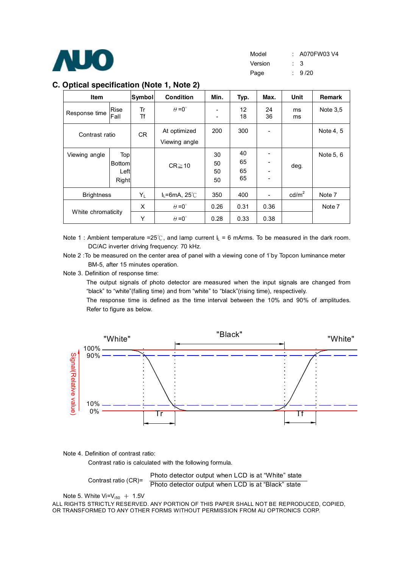

#### **C. Optical specification (Note 1, Note 2)**

| <b>Item</b>        |                                       | Symbol   | <b>Condition</b>                             | Min.                 | Typ.                 | Max.         | Unit              | <b>Remark</b> |
|--------------------|---------------------------------------|----------|----------------------------------------------|----------------------|----------------------|--------------|-------------------|---------------|
| Response time      | Rise<br>Fall                          | Tr<br>Τf | $\theta = 0^{\circ}$                         | -<br>-               | 12<br>18             | 24<br>36     | ms<br>ms          | Note $3.5$    |
| Contrast ratio     |                                       | CR.      | At optimized<br>Viewing angle                | 200                  | 300                  |              |                   | Note 4, 5     |
| Viewing angle      | Top<br><b>Bottom</b><br>Left<br>Right |          | $CR \ge 10$                                  | 30<br>50<br>50<br>50 | 40<br>65<br>65<br>65 |              | deg.              | Note 5, 6     |
| <b>Brightness</b>  |                                       | $Y_L$    | $I_L = 6mA$ , 25°C                           | 350                  | 400                  |              | cd/m <sup>2</sup> | Note 7        |
| White chromaticity |                                       | X<br>Υ   | $\theta = 0^{\circ}$<br>$\theta = 0^{\circ}$ | 0.26<br>0.28         | 0.31<br>0.33         | 0.36<br>0.38 |                   | Note 7        |

Note 1 : Ambient temperature =25℃, and lamp current  $I_L = 6$  mArms. To be measured in the dark room. DC/AC inverter driving frequency: 70 kHz.

Note 2 : To be measured on the center area of panel with a viewing cone of 1<sup>°</sup>by Topcon luminance meter BM-5, after 15 minutes operation.

Note 3. Definition of response time:

The output signals of photo detector are measured when the input signals are changed from "black" to "white"(falling time) and from "white" to "black"(rising time), respectively.

The response time is defined as the time interval between the 10% and 90% of amplitudes. Refer to figure as below.



Note 4. Definition of contrast ratio:

Contrast ratio is calculated with the following formula.

Contrast ratio (CR)= Photo detector output when LCD is at "White" state Photo detector output when LCD is at "Black" state

Note 5. White  $Vi=V_{i50} + 1.5V$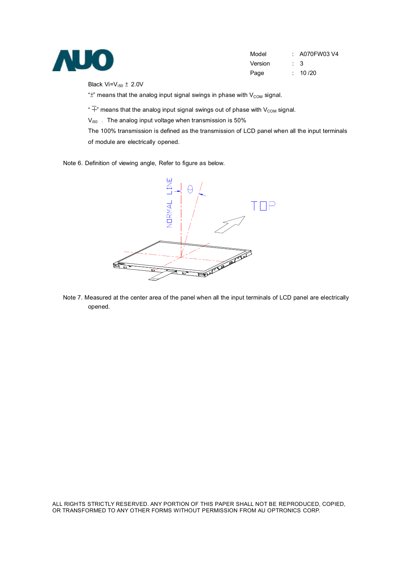

| Model   | $\therefore$ A070FW03 V4 |
|---------|--------------------------|
| Version | $\cdot$ 3                |
| Page    | : 10/20                  |

Black  $Vi=V_{150} \pm 2.0V$ 

" $\pm$ " means that the analog input signal swings in phase with  $V_{COM}$  signal.

" $\overline{+}$ " means that the analog input signal swings out of phase with V<sub>COM</sub> signal.

 $V_{i50}$ : The analog input voltage when transmission is 50%

The 100% transmission is defined as the transmission of LCD panel when all the input terminals of module are electrically opened.

Note 6. Definition of viewing angle, Refer to figure as below.



Note 7. Measured at the center area of the panel when all the input terminals of LCD panel are electrically opened.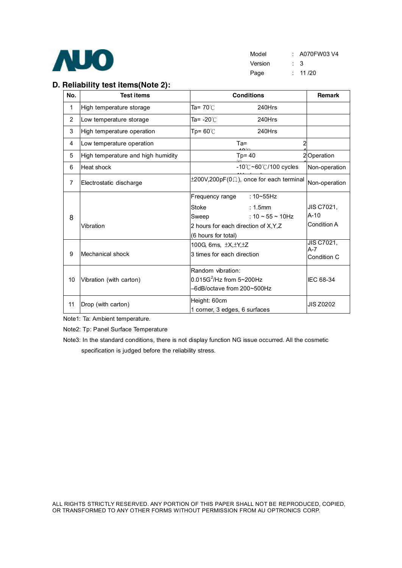

| Model   |     | $: A070$ FW03 V4 |
|---------|-----|------------------|
| Version | : 3 |                  |
| Page    |     | : 11/20          |

## **D. Reliability test items(Note 2):**

| No.            | <b>Test items</b>                  | <b>Conditions</b>                                                                                                                                         | Remark                                     |
|----------------|------------------------------------|-----------------------------------------------------------------------------------------------------------------------------------------------------------|--------------------------------------------|
| 1              | High temperature storage           | Ta= 70 $\degree$ C<br>240Hrs                                                                                                                              |                                            |
| $\overline{2}$ | Low temperature storage            | Ta= -20℃<br>240Hrs                                                                                                                                        |                                            |
| 3              | High temperature operation         | Tp= $60^{\circ}$ C<br>240Hrs                                                                                                                              |                                            |
| 4              | Low temperature operation          | $Ta =$                                                                                                                                                    |                                            |
| 5              | High temperature and high humidity | $Tp = 40$                                                                                                                                                 | 2Operation                                 |
| 6              | Heat shock                         | $-10^{\circ}$ C ~60 $^{\circ}$ C/100 cycles                                                                                                               | Non-operation                              |
| $\overline{7}$ | Electrostatic discharge            | $\pm 200V, 200pF(0\Omega)$ , once for each terminal                                                                                                       | Non-operation                              |
| 8              | Vibration                          | Frequency range<br>∶ 10~55Hz<br>Stoke<br>$: 1.5$ mm<br>: $10 \sim 55 \sim 10$ Hz<br>Sweep<br>2 hours for each direction of X, Y, Z<br>(6 hours for total) | <b>JIS C7021.</b><br>$A-10$<br>Condition A |
| 9              | Mechanical shock                   | 100G, 6ms, $\pm$ X, $\pm$ Y, $\pm$ Z<br>3 times for each direction                                                                                        | JIS C7021,<br>$A - 7$<br>Condition C       |
| 10             | Vibration (with carton)            | Random vibration:<br>$0.015G^2$ /Hz from 5~200Hz<br>-6dB/octave from 200~500Hz                                                                            | IEC 68-34                                  |
| 11             | Drop (with carton)                 | Height: 60cm<br>1 corner, 3 edges, 6 surfaces                                                                                                             | <b>JIS Z0202</b>                           |

Note1: Ta: Ambient temperature.

Note2: Tp: Panel Surface Temperature

Note3: In the standard conditions, there is not display function NG issue occurred. All the cosmetic specification is judged before the reliability stress.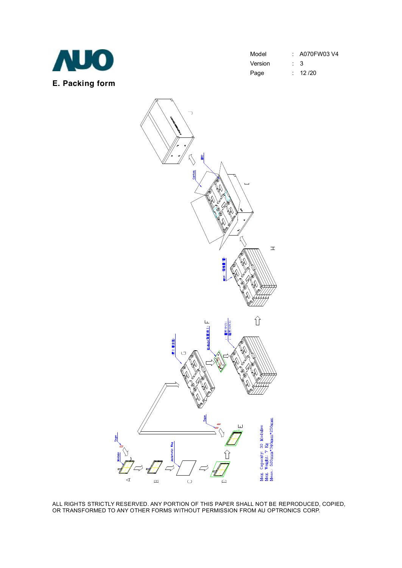

| Model   |           | : A070FW03 V4 |
|---------|-----------|---------------|
| Version | $\cdot$ 3 |               |
| Page    |           | : 12/20       |

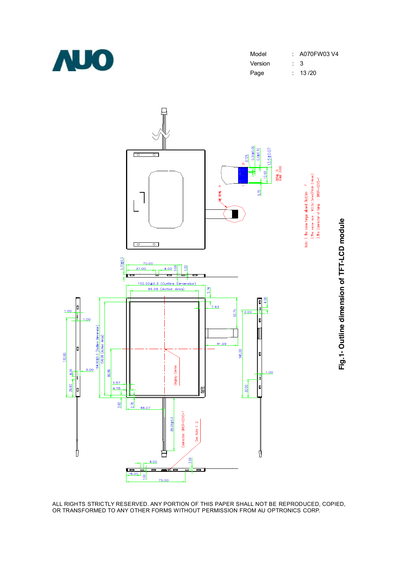

| : A070FW03 V4  |
|----------------|
|                |
| : 13/20        |
| $\therefore$ 3 |

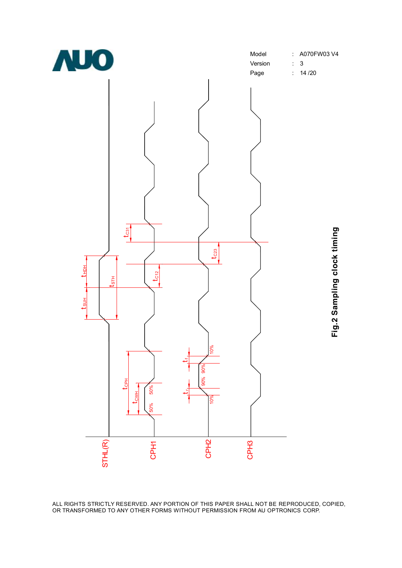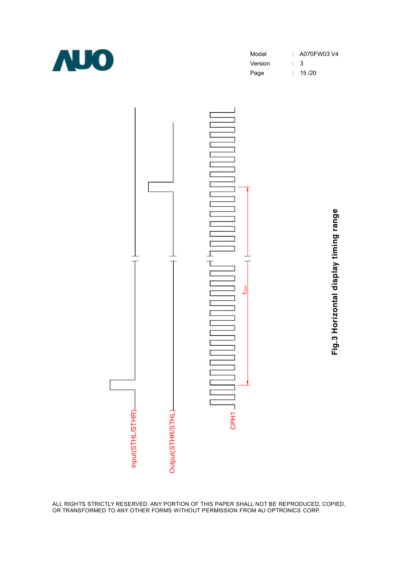

| Model   |     | : A070FW03 V4 |
|---------|-----|---------------|
| Version | : 3 |               |
| Page    |     | : 15/20       |



**Fig.3 H oriz o ntal dis pla y timin g ra n g**

**e**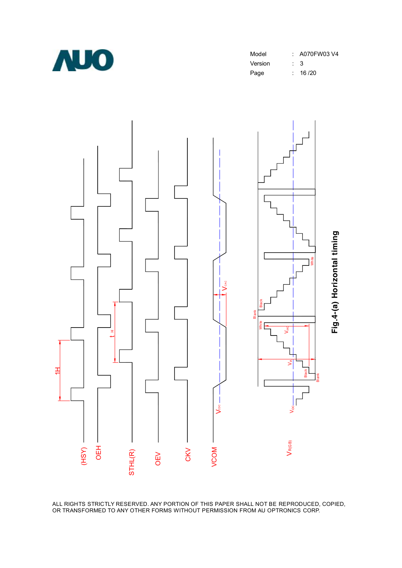

| : A070FW03 V4 |
|---------------|
| : 3           |
| : 16/20       |
|               |

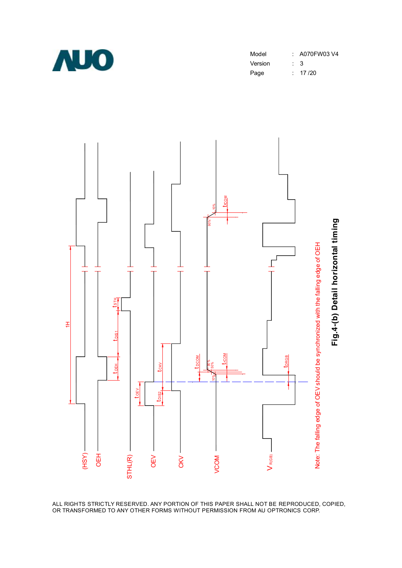

| Model   |                | : A070FW03 V4 |
|---------|----------------|---------------|
| Version | $\therefore$ 3 |               |
| Page    |                | : $17/20$     |

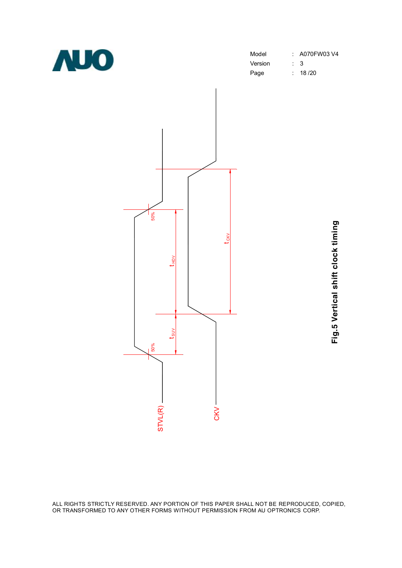

| Model   | : A070FW03 V4 |
|---------|---------------|
| Version | : 3           |
| Page    | : 18/20       |
|         |               |



**Fig.5**  $\geq$ **ertic al s hift clo c k timin g**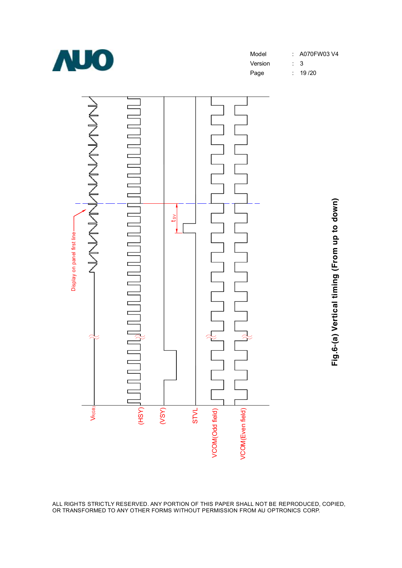

Model : A070FW03 V4

Version : 3

Page : 19 /20



**Fig.6-(a) V ertic al timin g (Fro** <u>اع</u> **u p to d o w n)**